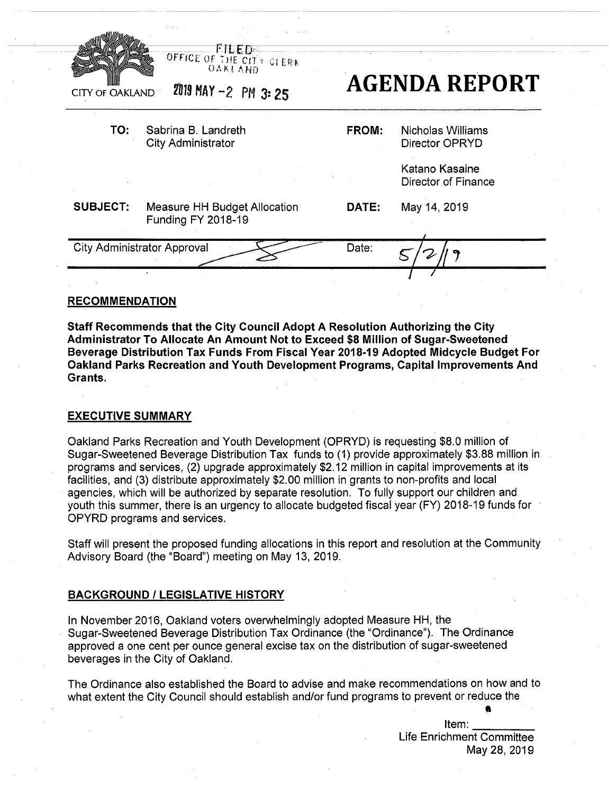| <b>CITY OF OAKLAND</b>             | OFFICE OF THE CITY CLERA<br>2019 MAY -2 PM 3: 25          |              | <b>AGENDA REPORT</b>                                         |
|------------------------------------|-----------------------------------------------------------|--------------|--------------------------------------------------------------|
| TO:                                | Sabrina B. Landreth<br><b>City Administrator</b>          | <b>FROM:</b> | <b>Nicholas Williams</b><br>Director OPRYD<br>Katano Kasaine |
|                                    |                                                           |              | Director of Finance                                          |
| <b>SUBJECT:</b>                    | Measure HH Budget Allocation<br><b>Funding FY 2018-19</b> | DATE:        | May 14, 2019                                                 |
| <b>City Administrator Approval</b> |                                                           | Date:        |                                                              |
|                                    |                                                           |              |                                                              |

# **RECOMMENDATION**

**Staff Recommends that the City Council Adopt A Resolution Authorizing the City Administrator To Allocate An Amount Not to Exceed \$8 Million of Sugar-Sweetened Beverage Distribution Tax Funds From Fiscal Year 2018-19 Adopted Midcycle Budget For Oakland Parks Recreation and Youth Development Programs, Capital Improvements And Grants.**

# **EXECUTIVE SUMMARY**

Oakland Parks Recreation and Youth Development (OPRYD) is requesting \$8.0 million of Sugar-Sweetened Beverage Distribution Tax funds to (1) provide approximately \$3.88 million in . programs and services, (2) upgrade approximately \$2.12 million in capital improvements at its facilities, and (3) distribute approximately \$2.00 million in grants to non-profits and local agencies, which will be authorized by separate resolution. To fully support our children and youth this summer, there is an urgency to allocate budgeted fiscal year (FY) 2018-19 funds for OPYRD programs and services.

Staff will present the proposed funding allocations in this report and resolution at the Community Advisory Board (the "Board") meeting on May 13, 2019.

## **BACKGROUND / LEGISLATIVE HISTORY**

In November 2016, Oakland voters overwhelmingly adopted Measure HH, the Sugar-Sweetened Beverage Distribution Tax Ordinance (the "Ordinance"). The Ordinance approved a one cent per ounce general excise tax on the distribution of sugar-sweetened beverages in the City of Oakland.

The Ordinance also established the Board to advise and make recommendations on how and to what extent the City Council should establish and/or fund programs to prevent or reduce the

> Item: Life Enrichment Committee May 28, 2019

A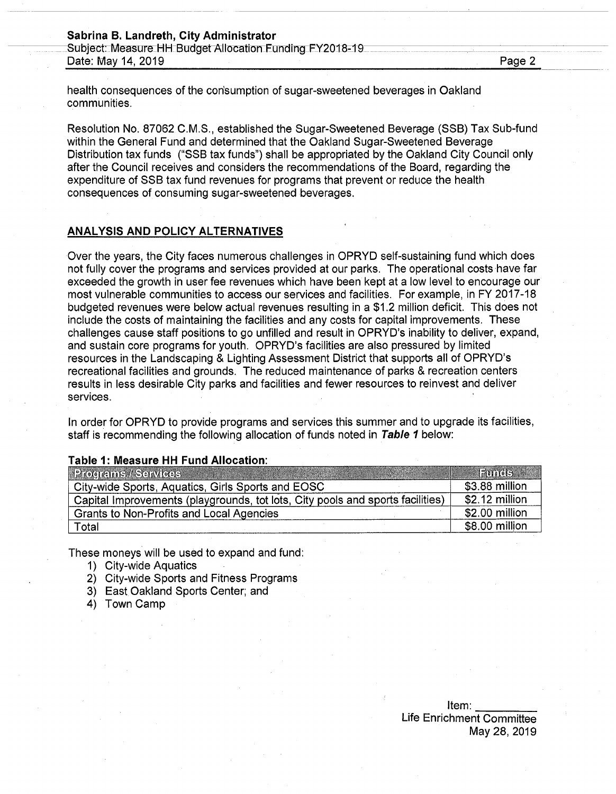#### **Sabrina B. Landreth, City Administrator**

Subject: Measure HH Budget Allocation Funding FY2018-19 Date: May 14, 2019\_\_\_\_\_\_\_\_\_\_ \_\_\_\_\_\_\_\_\_\_\_\_\_\_\_\_\_\_\_\_\_\_ Page 2

health consequences of the con'sumption of sugar-sweetened beverages in Oakland communities.

Resolution No. 87062 C.M.S., established the Sugar-Sweetened Beverage (SSB) Tax Sub-fund within the General Fund and determined that the Oakland Sugar-Sweetened Beverage Distribution tax funds ("SSB tax funds") shall be appropriated by the Oakland City Council only after the Council receives and considers the recommendations of the Board, regarding the expenditure of SSB tax fund revenues for programs that prevent or reduce the health consequences of consuming sugar-sweetened beverages.

# **ANALYSIS AND POLICY ALTERNATIVES**

Over the years, the City faces numerous challenges in OPRYD self-sustaining fund which does not fully cover the programs and services provided at our parks. The operational costs have far exceeded the growth in user fee revenues which have been kept at a low level to encourage our most vulnerable communities to access our services and facilities. For example, in FY 2017-18 budgeted revenues were below actual revenues resulting in a \$1.2 million deficit. This does not include the costs of maintaining the facilities and any costs for capital improvements. These challenges cause staff positions to go unfilled and result in OPRYD's inability to deliver, expand, and sustain core programs for youth. OPRYD's facilities are also pressured by limited resources in the Landscaping & Lighting Assessment District that supports all of OPRYD's recreational facilities and grounds. The reduced maintenance of parks & recreation centers results in less desirable City parks and facilities and fewer resources to reinvest and deliver services.

In order for OPRYD to provide programs and services this summer and to upgrade its facilities, staff is recommending the following allocation of funds noted in *Table 1* below:

# **Programs / Services Funds** City-wide Sports, Aquatics, Girls Sports and EOSC<br>
Capital Improvements (playarounds, tot lots, City pools and sports facilities) 52.12 million Capital Improvements (playgrounds, tot lots, City pools and sports facilities) | \$2.12 million<br>Grants to Non-Profits and Local Agencies | \$2.00 million Grants to Non-Profits and Local Agencies **\$2.00 million**<br>Total \$8.00 million Total \$8.00 million

#### **Table 1: Measure HH Fund Allocation:**

These moneys will be used to expand and fund:

- 1) City-wide Aquatics
- 2) City-wide Sports and Fitness Programs
- 3) East Oakland Sports Center; and
- 4) Town Camp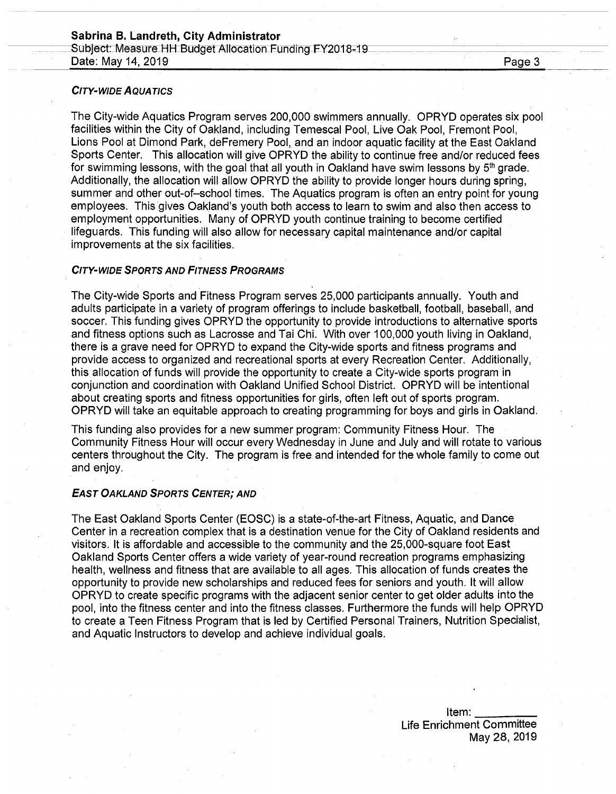# **Sabrina B. Landreth, City Administrator**

Subject: Measure HH Budget Allocation Funding FY2018-19 Date: May 14, 2019 **Date: May 14, 2019** 

# *City-wide Aquatics*

The City-wide Aquatics Program serves 200,000 swimmers annually. OPRYD operates six pool facilities within the City of Oakland, including Temescal Pool, Live Oak Pool, Fremont Pool, Lions Pool at Dimond Park, deFremery Pool, and an indoor aquatic facility at the East Oakland Sports Center. This allocation will give OPRYD the ability to continue free and/or reduced fees for swimming lessons, with the goal that all youth in Oakland have swim lessons by  $5<sup>th</sup>$  grade. Additionally, the allocation will allow OPRYD the ability to provide longer hours during spring, summer and other out-of-school times. The Aquatics program is often an entry point for young employees. This gives Oakland's youth both access to learn to swim and also then access to employment opportunities. Many of OPRYD youth continue training to become certified lifeguards. This funding will also allow for necessary capital maintenance and/or capital improvements at the six facilities.

### *City-wide Sports and Fitness Programs*

The City-wide Sports and Fitness Program serves 25,000 participants annually. Youth and adults participate in a variety of program offerings to include basketball, football, baseball, and soccer. This funding gives OPRYD the opportunity to provide introductions to alternative sports and fitness options such as Lacrosse and Tai Chi. With over 100,000 youth living in Oakland, there is a grave need for OPRYD to expand the City-wide sports and fitness programs and provide access to organized and recreational sports at every Recreation Center. Additionally, this allocation of funds will provide the opportunity to create a City-wide sports program in conjunction and coordination with Oakland Unified School District. OPRYD will be intentional about creating sports and fitness opportunities for girls, often left out of sports program. OPRYD will take an equitable approach to creating programming for boys and girls in Oakland.

This funding also provides for a new summer program: Community Fitness Hour. The Community Fitness Hour will occur every Wednesday in June and July and will rotate to various centers throughout the City. The program is free and intended for the whole family to come out and enjoy.

#### *East Oakland Sports Center; and*

The East Oakland Sports Center (EOSC) is a state-of-the-art Fitness, Aquatic, and Dance Center in a recreation complex that is a destination venue for the City of Oakland residents and visitors. It is affordable and accessible to the community and the 25,000-square foot East Oakland Sports Center offers a wide variety of year-round recreation programs emphasizing health, wellness and fitness that are available to all ages. This allocation of funds creates the opportunity to provide new scholarships and reduced fees for seniors and youth. It will allow OPRYD to create specific programs with the adjacent senior center to get older adults into the pool, into the fitness center and into the fitness classes. Furthermore the funds will help OPRYD to create a Teen Fitness Program that is led by Certified Personal Trainers, Nutrition Specialist, and Aquatic Instructors to develop and achieve individual goals.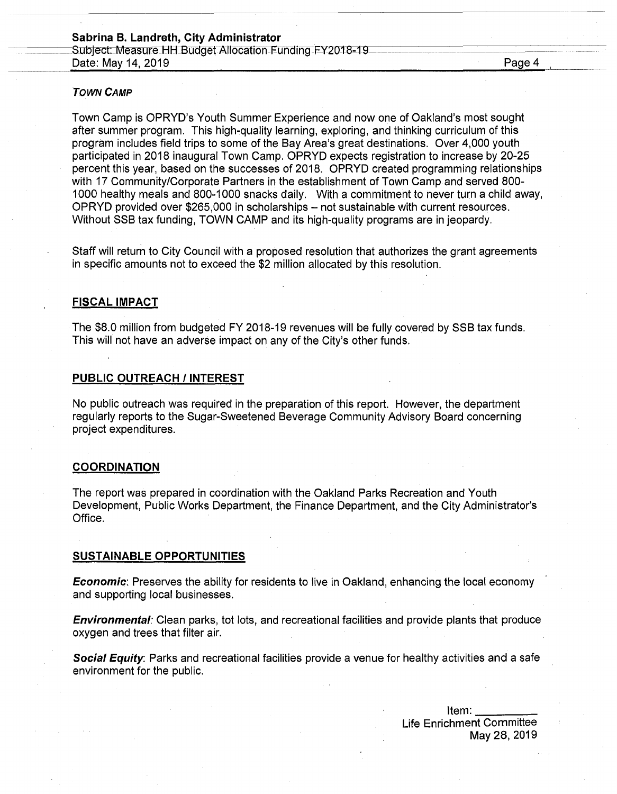#### *Town Camp*

Town Camp is OPRYD's Youth Summer Experience and now one of Oakland's most sought after summer program. This high-quality learning, exploring, and thinking curriculum of this program includes field trips to some of the Bay Area's great destinations. Over 4,000 youth participated in 2018 inaugural Town Camp. OPRYD expects registration to increase by 20-25 percent this year, based on the successes of 2018. OPRYD created programming relationships with 17 Community/Corporate Partners in the establishment of Town Camp and served 800- 1000 healthy meals and 800-1000 snacks daily. With a commitment to never turn a child away, OPRYD provided over \$265,000 in scholarships - not sustainable with current resources. Without SSB tax funding, TOWN CAMP and its high-quality programs are in jeopardy.

Staff will return to City Council with a proposed resolution that authorizes the grant agreements in specific amounts not to exceed the \$2 million allocated by this resolution.

# **FISCAL IMPACT**

The \$8.0 million from budgeted FY 2018-19 revenues will be fully covered by SSB tax funds. This will not have an adverse impact on any of the City's other funds.

# **PUBLIC OUTREACH / INTEREST**

No public outreach was required in the preparation of this report. However, the department regularly reports to the Sugar-Sweetened Beverage Community Advisory Board concerning project expenditures.

# **COORDINATION**

The report was prepared in coordination with the Oakland Parks Recreation and Youth Development, Public Works Department, the Finance Department, and the City Administrator's Office.

#### **SUSTAINABLE OPPORTUNITIES**

*Economic*: Preserves the ability for residents to live in Oakland, enhancing the local economy and supporting local businesses.

*Environmental:* Clean parks, tot lots, and recreational facilities and provide plants that produce oxygen and trees that filter air.

*Social Equity.* Parks and recreational facilities provide a venue for healthy activities and a safe environment for the public.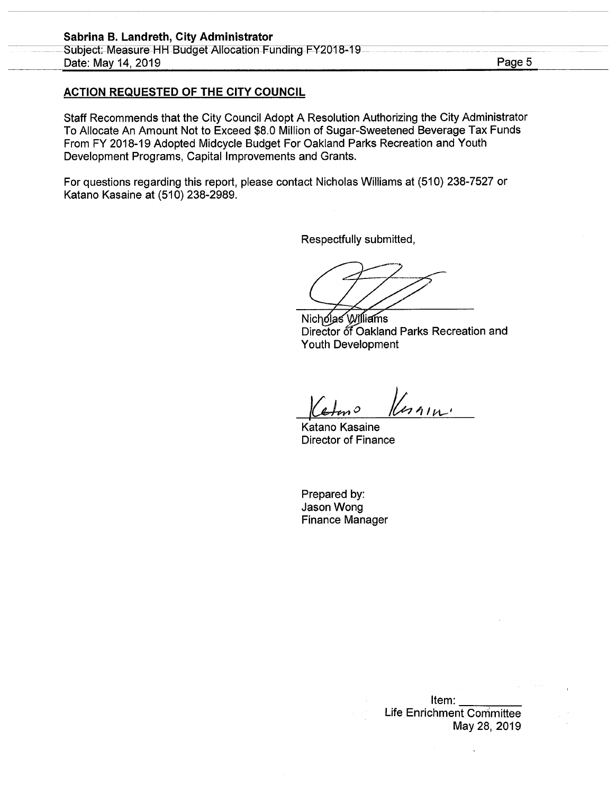# **ACTION REQUESTED OF THE CITY COUNCIL**

Staff Recommends that the City Council Adopt A Resolution Authorizing the City Administrator To Allocate An Amount Not to Exceed \$8.0 Million of Sugar-Sweetened Beverage Tax Funds From FY 2018-19 Adopted Midcycle Budget For Oakland Parks Recreation and Youth Development Programs, Capital Improvements and Grants.

For questions regarding this report, please contact Nicholas Williams at (510) 238-7527 or Katano Kasaine at (510) 238-2989.

Respectfully submitted,

**2**

Nicholas Williams Director of Oakland Parks Recreation and Youth Development

*4*

Katano Kasaine Director of Finance

Prepared by: Jason Wong Finance Manager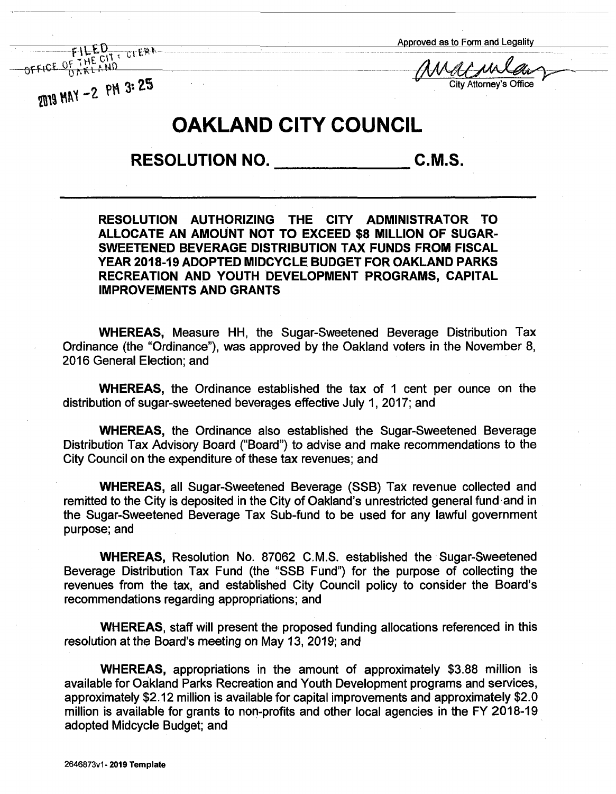Approved as to Form and Legality

**PM 3:**  $25$  City Attorney's Office

OF THE CIT : CLERK **flalM**

# **OAKLAND CITY COUNCIL**

**RESOLUTION NO. C.M.S.**

**RESOLUTION AUTHORIZING THE CITY ADMINISTRATOR TO ALLOCATE AN AMOUNT NOT TO EXCEED \$8 MILLION OF SUGAR-SWEETENED BEVERAGE DISTRIBUTION TAX FUNDS FROM FISCAL YEAR 2018-19 ADOPTED MIDCYCLE BUDGET FOR OAKLAND PARKS RECREATION AND YOUTH DEVELOPMENT PROGRAMS, CAPITAL IMPROVEMENTS AND GRANTS**

**WHEREAS,** Measure HH, the Sugar-Sweetened Beverage Distribution Tax Ordinance (the "Ordinance"), was approved by the Oakland voters in the November 8, 2016 General Election; and

**WHEREAS,** the Ordinance established the tax of <sup>1</sup> cent per ounce on the distribution of sugar-sweetened beverages effective July 1, 2017; and

**WHEREAS,** the Ordinance also established the Sugar-Sweetened Beverage Distribution Tax Advisory Board ("Board") to advise and make recommendations to the City Council on the expenditure of these tax revenues; and

**WHEREAS,** all Sugar-Sweetened Beverage (SSB) Tax revenue collected and remitted to the City is deposited in the City of Oakland's unrestricted general fund and in the Sugar-Sweetened Beverage Tax Sub-fund to be used for any lawful government purpose; and

**WHEREAS,** Resolution No. 87062 C.M.S. established the Sugar-Sweetened Beverage Distribution Tax Fund (the "SSB Fund") for the purpose of collecting the revenues from the tax, and established City Council policy to consider the Board's recommendations regarding appropriations; and

**WHEREAS,** staff will present the proposed funding allocations referenced in this resolution at the Board's meeting on May 13, 2019; and

**WHEREAS,** appropriations in the amount of approximately \$3.88 million is available for Oakland Parks Recreation and Youth Development programs and services, approximately \$2.12 million is available for capital improvements and approximately \$2.0 million is available for grants to non-profits and other local agencies in the FY 2018-19 adopted Midcycle Budget; and